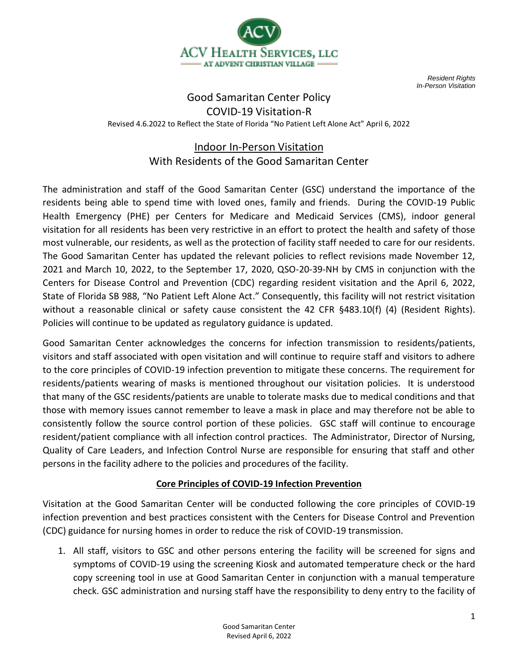

*Resident Rights In-Person Visitation*

# Good Samaritan Center Policy COVID-19 Visitation-R Revised 4.6.2022 to Reflect the State of Florida "No Patient Left Alone Act" April 6, 2022

# Indoor In-Person Visitation With Residents of the Good Samaritan Center

The administration and staff of the Good Samaritan Center (GSC) understand the importance of the residents being able to spend time with loved ones, family and friends. During the COVID-19 Public Health Emergency (PHE) per Centers for Medicare and Medicaid Services (CMS), indoor general visitation for all residents has been very restrictive in an effort to protect the health and safety of those most vulnerable, our residents, as well as the protection of facility staff needed to care for our residents. The Good Samaritan Center has updated the relevant policies to reflect revisions made November 12, 2021 and March 10, 2022, to the September 17, 2020, QSO-20-39-NH by CMS in conjunction with the Centers for Disease Control and Prevention (CDC) regarding resident visitation and the April 6, 2022, State of Florida SB 988, "No Patient Left Alone Act." Consequently, this facility will not restrict visitation without a reasonable clinical or safety cause consistent the 42 CFR §483.10(f) (4) (Resident Rights). Policies will continue to be updated as regulatory guidance is updated.

Good Samaritan Center acknowledges the concerns for infection transmission to residents/patients, visitors and staff associated with open visitation and will continue to require staff and visitors to adhere to the core principles of COVID-19 infection prevention to mitigate these concerns. The requirement for residents/patients wearing of masks is mentioned throughout our visitation policies. It is understood that many of the GSC residents/patients are unable to tolerate masks due to medical conditions and that those with memory issues cannot remember to leave a mask in place and may therefore not be able to consistently follow the source control portion of these policies. GSC staff will continue to encourage resident/patient compliance with all infection control practices. The Administrator, Director of Nursing, Quality of Care Leaders, and Infection Control Nurse are responsible for ensuring that staff and other persons in the facility adhere to the policies and procedures of the facility.

## **Core Principles of COVID-19 Infection Prevention**

Visitation at the Good Samaritan Center will be conducted following the core principles of COVID-19 infection prevention and best practices consistent with the Centers for Disease Control and Prevention (CDC) guidance for nursing homes in order to reduce the risk of COVID-19 transmission.

1. All staff, visitors to GSC and other persons entering the facility will be screened for signs and symptoms of COVID-19 using the screening Kiosk and automated temperature check or the hard copy screening tool in use at Good Samaritan Center in conjunction with a manual temperature check. GSC administration and nursing staff have the responsibility to deny entry to the facility of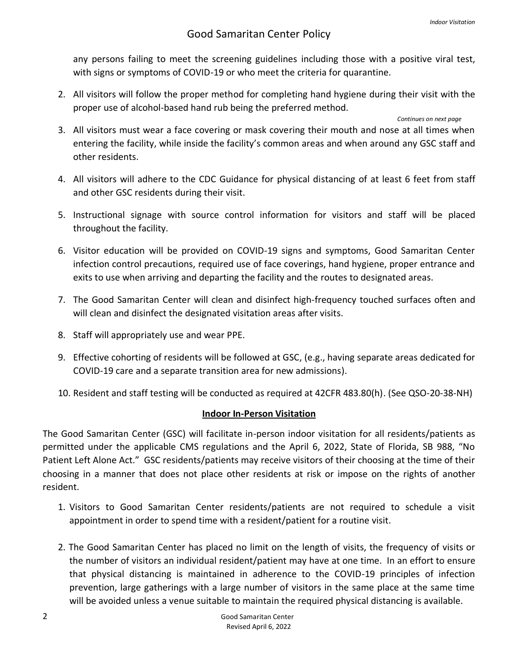#### Good Samaritan Center Policy

any persons failing to meet the screening guidelines including those with a positive viral test, with signs or symptoms of COVID-19 or who meet the criteria for quarantine.

2. All visitors will follow the proper method for completing hand hygiene during their visit with the proper use of alcohol-based hand rub being the preferred method.

#### *Continues on next page*

- 3. All visitors must wear a face covering or mask covering their mouth and nose at all times when entering the facility, while inside the facility's common areas and when around any GSC staff and other residents.
- 4. All visitors will adhere to the CDC Guidance for physical distancing of at least 6 feet from staff and other GSC residents during their visit.
- 5. Instructional signage with source control information for visitors and staff will be placed throughout the facility.
- 6. Visitor education will be provided on COVID-19 signs and symptoms, Good Samaritan Center infection control precautions, required use of face coverings, hand hygiene, proper entrance and exits to use when arriving and departing the facility and the routes to designated areas.
- 7. The Good Samaritan Center will clean and disinfect high-frequency touched surfaces often and will clean and disinfect the designated visitation areas after visits.
- 8. Staff will appropriately use and wear PPE.
- 9. Effective cohorting of residents will be followed at GSC, (e.g., having separate areas dedicated for COVID-19 care and a separate transition area for new admissions).
- 10. Resident and staff testing will be conducted as required at 42CFR 483.80(h). (See QSO-20-38-NH)

#### **Indoor In-Person Visitation**

The Good Samaritan Center (GSC) will facilitate in-person indoor visitation for all residents/patients as permitted under the applicable CMS regulations and the April 6, 2022, State of Florida, SB 988, "No Patient Left Alone Act." GSC residents/patients may receive visitors of their choosing at the time of their choosing in a manner that does not place other residents at risk or impose on the rights of another resident.

- 1. Visitors to Good Samaritan Center residents/patients are not required to schedule a visit appointment in order to spend time with a resident/patient for a routine visit.
- 2. The Good Samaritan Center has placed no limit on the length of visits, the frequency of visits or the number of visitors an individual resident/patient may have at one time. In an effort to ensure that physical distancing is maintained in adherence to the COVID-19 principles of infection prevention, large gatherings with a large number of visitors in the same place at the same time will be avoided unless a venue suitable to maintain the required physical distancing is available.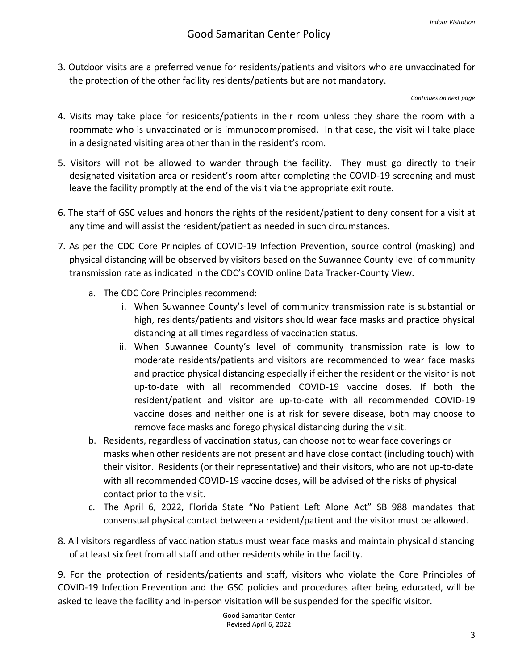3. Outdoor visits are a preferred venue for residents/patients and visitors who are unvaccinated for the protection of the other facility residents/patients but are not mandatory.

*Continues on next page*

- 4. Visits may take place for residents/patients in their room unless they share the room with a roommate who is unvaccinated or is immunocompromised. In that case, the visit will take place in a designated visiting area other than in the resident's room.
- 5. Visitors will not be allowed to wander through the facility. They must go directly to their designated visitation area or resident's room after completing the COVID-19 screening and must leave the facility promptly at the end of the visit via the appropriate exit route.
- 6. The staff of GSC values and honors the rights of the resident/patient to deny consent for a visit at any time and will assist the resident/patient as needed in such circumstances.
- 7. As per the CDC Core Principles of COVID-19 Infection Prevention, source control (masking) and physical distancing will be observed by visitors based on the Suwannee County level of community transmission rate as indicated in the CDC's COVID online Data Tracker-County View.
	- a. The CDC Core Principles recommend:
		- i. When Suwannee County's level of community transmission rate is substantial or high, residents/patients and visitors should wear face masks and practice physical distancing at all times regardless of vaccination status.
		- ii. When Suwannee County's level of community transmission rate is low to moderate residents/patients and visitors are recommended to wear face masks and practice physical distancing especially if either the resident or the visitor is not up-to-date with all recommended COVID-19 vaccine doses. If both the resident/patient and visitor are up-to-date with all recommended COVID-19 vaccine doses and neither one is at risk for severe disease, both may choose to remove face masks and forego physical distancing during the visit.
	- b. Residents, regardless of vaccination status, can choose not to wear face coverings or masks when other residents are not present and have close contact (including touch) with their visitor. Residents (or their representative) and their visitors, who are not up-to-date with all recommended COVID-19 vaccine doses, will be advised of the risks of physical contact prior to the visit.
	- c. The April 6, 2022, Florida State "No Patient Left Alone Act" SB 988 mandates that consensual physical contact between a resident/patient and the visitor must be allowed.
- 8. All visitors regardless of vaccination status must wear face masks and maintain physical distancing of at least six feet from all staff and other residents while in the facility.

9. For the protection of residents/patients and staff, visitors who violate the Core Principles of COVID-19 Infection Prevention and the GSC policies and procedures after being educated, will be asked to leave the facility and in-person visitation will be suspended for the specific visitor.

> Good Samaritan Center Revised April 6, 2022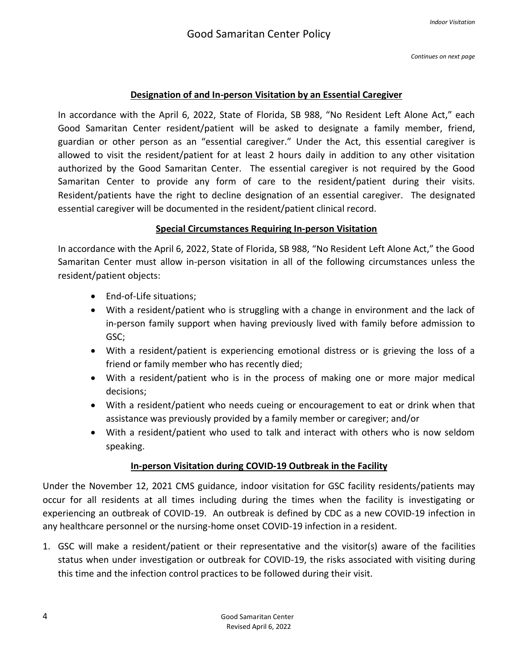*Continues on next page*

#### **Designation of and In-person Visitation by an Essential Caregiver**

In accordance with the April 6, 2022, State of Florida, SB 988, "No Resident Left Alone Act," each Good Samaritan Center resident/patient will be asked to designate a family member, friend, guardian or other person as an "essential caregiver." Under the Act, this essential caregiver is allowed to visit the resident/patient for at least 2 hours daily in addition to any other visitation authorized by the Good Samaritan Center. The essential caregiver is not required by the Good Samaritan Center to provide any form of care to the resident/patient during their visits. Resident/patients have the right to decline designation of an essential caregiver. The designated essential caregiver will be documented in the resident/patient clinical record.

## **Special Circumstances Requiring In-person Visitation**

In accordance with the April 6, 2022, State of Florida, SB 988, "No Resident Left Alone Act," the Good Samaritan Center must allow in-person visitation in all of the following circumstances unless the resident/patient objects:

- End-of-Life situations;
- With a resident/patient who is struggling with a change in environment and the lack of in-person family support when having previously lived with family before admission to GSC;
- With a resident/patient is experiencing emotional distress or is grieving the loss of a friend or family member who has recently died;
- With a resident/patient who is in the process of making one or more major medical decisions;
- With a resident/patient who needs cueing or encouragement to eat or drink when that assistance was previously provided by a family member or caregiver; and/or
- With a resident/patient who used to talk and interact with others who is now seldom speaking.

## **In-person Visitation during COVID-19 Outbreak in the Facility**

Under the November 12, 2021 CMS guidance, indoor visitation for GSC facility residents/patients may occur for all residents at all times including during the times when the facility is investigating or experiencing an outbreak of COVID-19. An outbreak is defined by CDC as a new COVID-19 infection in any healthcare personnel or the nursing-home onset COVID-19 infection in a resident.

1. GSC will make a resident/patient or their representative and the visitor(s) aware of the facilities status when under investigation or outbreak for COVID-19, the risks associated with visiting during this time and the infection control practices to be followed during their visit.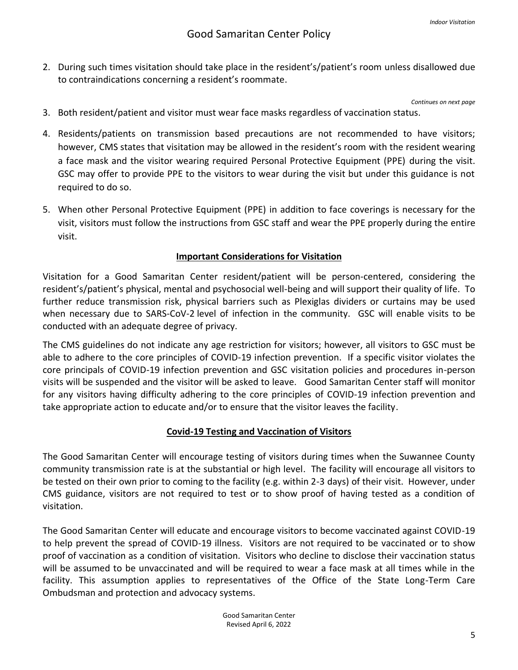2. During such times visitation should take place in the resident's/patient's room unless disallowed due to contraindications concerning a resident's roommate.

*Continues on next page*

- 3. Both resident/patient and visitor must wear face masks regardless of vaccination status.
- 4. Residents/patients on transmission based precautions are not recommended to have visitors; however, CMS states that visitation may be allowed in the resident's room with the resident wearing a face mask and the visitor wearing required Personal Protective Equipment (PPE) during the visit. GSC may offer to provide PPE to the visitors to wear during the visit but under this guidance is not required to do so.
- 5. When other Personal Protective Equipment (PPE) in addition to face coverings is necessary for the visit, visitors must follow the instructions from GSC staff and wear the PPE properly during the entire visit.

#### **Important Considerations for Visitation**

Visitation for a Good Samaritan Center resident/patient will be person-centered, considering the resident's/patient's physical, mental and psychosocial well-being and will support their quality of life. To further reduce transmission risk, physical barriers such as Plexiglas dividers or curtains may be used when necessary due to SARS-CoV-2 level of infection in the community. GSC will enable visits to be conducted with an adequate degree of privacy.

The CMS guidelines do not indicate any age restriction for visitors; however, all visitors to GSC must be able to adhere to the core principles of COVID-19 infection prevention. If a specific visitor violates the core principals of COVID-19 infection prevention and GSC visitation policies and procedures in-person visits will be suspended and the visitor will be asked to leave. Good Samaritan Center staff will monitor for any visitors having difficulty adhering to the core principles of COVID-19 infection prevention and take appropriate action to educate and/or to ensure that the visitor leaves the facility.

#### **Covid-19 Testing and Vaccination of Visitors**

The Good Samaritan Center will encourage testing of visitors during times when the Suwannee County community transmission rate is at the substantial or high level. The facility will encourage all visitors to be tested on their own prior to coming to the facility (e.g. within 2-3 days) of their visit. However, under CMS guidance, visitors are not required to test or to show proof of having tested as a condition of visitation.

The Good Samaritan Center will educate and encourage visitors to become vaccinated against COVID-19 to help prevent the spread of COVID-19 illness. Visitors are not required to be vaccinated or to show proof of vaccination as a condition of visitation. Visitors who decline to disclose their vaccination status will be assumed to be unvaccinated and will be required to wear a face mask at all times while in the facility. This assumption applies to representatives of the Office of the State Long-Term Care Ombudsman and protection and advocacy systems.